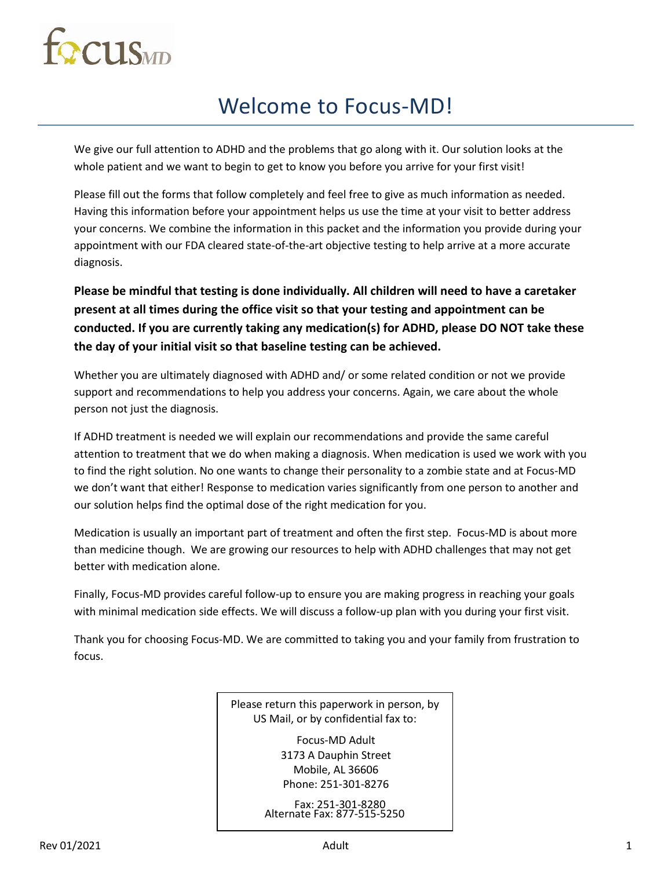# **ECCLIS**MD

## Welcome to Focus-MD!

We give our full attention to ADHD and the problems that go along with it. Our solution looks at the whole patient and we want to begin to get to know you before you arrive for your first visit!

Please fill out the forms that follow completely and feel free to give as much information as needed. Having this information before your appointment helps us use the time at your visit to better address your concerns. We combine the information in this packet and the information you provide during your appointment with our FDA cleared state-of-the-art objective testing to help arrive at a more accurate diagnosis.

**Please be mindful that testing is done individually. All children will need to have a caretaker present at all times during the office visit so that your testing and appointment can be conducted. If you are currently taking any medication(s) for ADHD, please DO NOT take these the day of your initial visit so that baseline testing can be achieved.** 

Whether you are ultimately diagnosed with ADHD and/ or some related condition or not we provide support and recommendations to help you address your concerns. Again, we care about the whole person not just the diagnosis.

If ADHD treatment is needed we will explain our recommendations and provide the same careful attention to treatment that we do when making a diagnosis. When medication is used we work with you to find the right solution. No one wants to change their personality to a zombie state and at Focus-MD we don't want that either! Response to medication varies significantly from one person to another and our solution helps find the optimal dose of the right medication for you.

Medication is usually an important part of treatment and often the first step. Focus-MD is about more than medicine though. We are growing our resources to help with ADHD challenges that may not get better with medication alone.

Finally, Focus-MD provides careful follow-up to ensure you are making progress in reaching your goals with minimal medication side effects. We will discuss a follow-up plan with you during your first visit.

Thank you for choosing Focus-MD. We are committed to taking you and your family from frustration to focus.

> Please return this paperwork in person, by US Mail, or by confidential fax to:

> > Focus-MD Adult 3173 A Dauphin Street Mobile, AL 36606 Phone: 251-301-8276

 Fax: 251-301-8280 Alternate Fax: 877-515-5250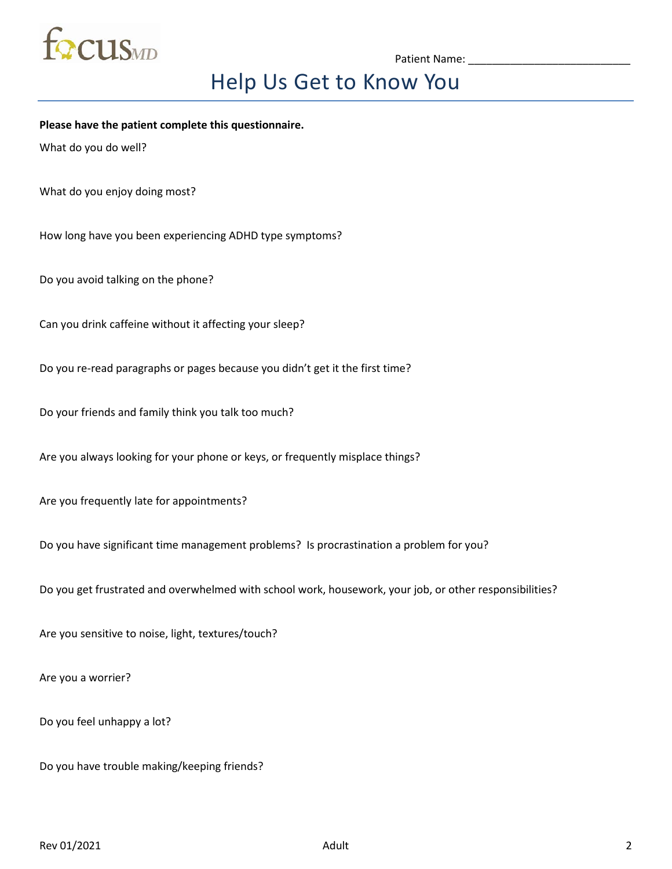

## Help Us Get to Know You

**Please have the patient complete this questionnaire.**

What do you do well?

What do you enjoy doing most?

How long have you been experiencing ADHD type symptoms?

Do you avoid talking on the phone?

Can you drink caffeine without it affecting your sleep?

Do you re-read paragraphs or pages because you didn't get it the first time?

Do your friends and family think you talk too much?

Are you always looking for your phone or keys, or frequently misplace things?

Are you frequently late for appointments?

Do you have significant time management problems? Is procrastination a problem for you?

Do you get frustrated and overwhelmed with school work, housework, your job, or other responsibilities?

Are you sensitive to noise, light, textures/touch?

Are you a worrier?

Do you feel unhappy a lot?

Do you have trouble making/keeping friends?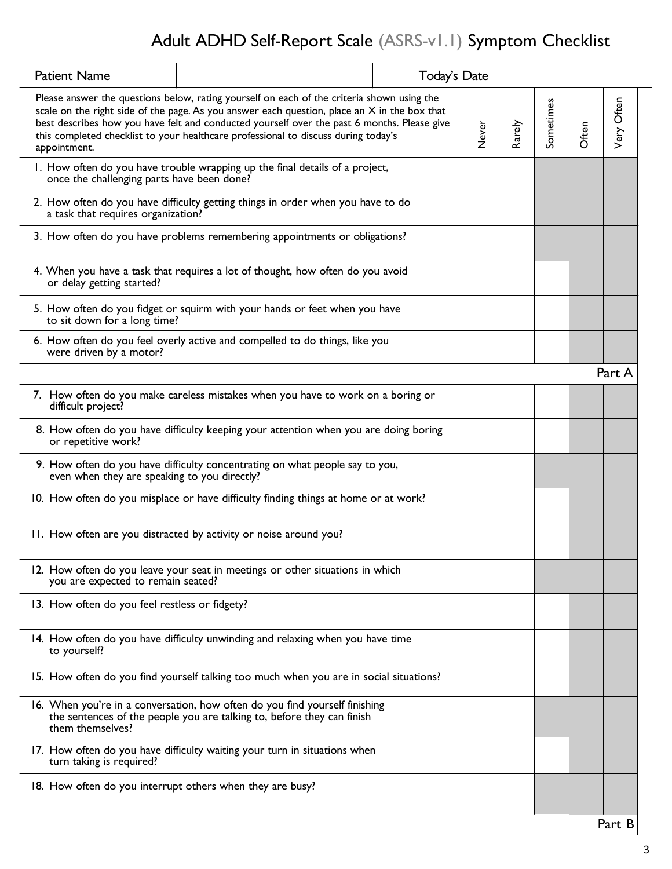## Adult ADHD Self-Report Scale (ASRS-v1.1) Symptom Checklist

| <b>Patient Name</b>                            |                                                                                                                                                                                                                                                                                                                                                                                   | Today's Date |       |        |           |       |            |
|------------------------------------------------|-----------------------------------------------------------------------------------------------------------------------------------------------------------------------------------------------------------------------------------------------------------------------------------------------------------------------------------------------------------------------------------|--------------|-------|--------|-----------|-------|------------|
| appointment.                                   | Please answer the questions below, rating yourself on each of the criteria shown using the<br>scale on the right side of the page. As you answer each question, place an $X$ in the box that<br>best describes how you have felt and conducted yourself over the past 6 months. Please give<br>this completed checklist to your healthcare professional to discuss during today's |              | Never | Rarely | Sometimes | Often | Very Often |
| once the challenging parts have been done?     | 1. How often do you have trouble wrapping up the final details of a project,                                                                                                                                                                                                                                                                                                      |              |       |        |           |       |            |
| a task that requires organization?             | 2. How often do you have difficulty getting things in order when you have to do                                                                                                                                                                                                                                                                                                   |              |       |        |           |       |            |
|                                                | 3. How often do you have problems remembering appointments or obligations?                                                                                                                                                                                                                                                                                                        |              |       |        |           |       |            |
| or delay getting started?                      | 4. When you have a task that requires a lot of thought, how often do you avoid                                                                                                                                                                                                                                                                                                    |              |       |        |           |       |            |
| to sit down for a long time?                   | 5. How often do you fidget or squirm with your hands or feet when you have                                                                                                                                                                                                                                                                                                        |              |       |        |           |       |            |
| were driven by a motor?                        | 6. How often do you feel overly active and compelled to do things, like you                                                                                                                                                                                                                                                                                                       |              |       |        |           |       |            |
|                                                |                                                                                                                                                                                                                                                                                                                                                                                   |              |       |        |           |       | Part A     |
| difficult project?                             | 7. How often do you make careless mistakes when you have to work on a boring or                                                                                                                                                                                                                                                                                                   |              |       |        |           |       |            |
| or repetitive work?                            | 8. How often do you have difficulty keeping your attention when you are doing boring                                                                                                                                                                                                                                                                                              |              |       |        |           |       |            |
| even when they are speaking to you directly?   | 9. How often do you have difficulty concentrating on what people say to you,                                                                                                                                                                                                                                                                                                      |              |       |        |           |       |            |
|                                                | 10. How often do you misplace or have difficulty finding things at home or at work?                                                                                                                                                                                                                                                                                               |              |       |        |           |       |            |
|                                                | 11. How often are you distracted by activity or noise around you?                                                                                                                                                                                                                                                                                                                 |              |       |        |           |       |            |
| you are expected to remain seated?             | 12. How often do you leave your seat in meetings or other situations in which                                                                                                                                                                                                                                                                                                     |              |       |        |           |       |            |
| 13. How often do you feel restless or fidgety? |                                                                                                                                                                                                                                                                                                                                                                                   |              |       |        |           |       |            |
| to yourself?                                   | 14. How often do you have difficulty unwinding and relaxing when you have time                                                                                                                                                                                                                                                                                                    |              |       |        |           |       |            |
|                                                | 15. How often do you find yourself talking too much when you are in social situations?                                                                                                                                                                                                                                                                                            |              |       |        |           |       |            |
| them themselves?                               | 16. When you're in a conversation, how often do you find yourself finishing<br>the sentences of the people you are talking to, before they can finish                                                                                                                                                                                                                             |              |       |        |           |       |            |
| turn taking is required?                       | 17. How often do you have difficulty waiting your turn in situations when                                                                                                                                                                                                                                                                                                         |              |       |        |           |       |            |
|                                                | 18. How often do you interrupt others when they are busy?                                                                                                                                                                                                                                                                                                                         |              |       |        |           |       |            |
|                                                |                                                                                                                                                                                                                                                                                                                                                                                   |              |       |        |           |       |            |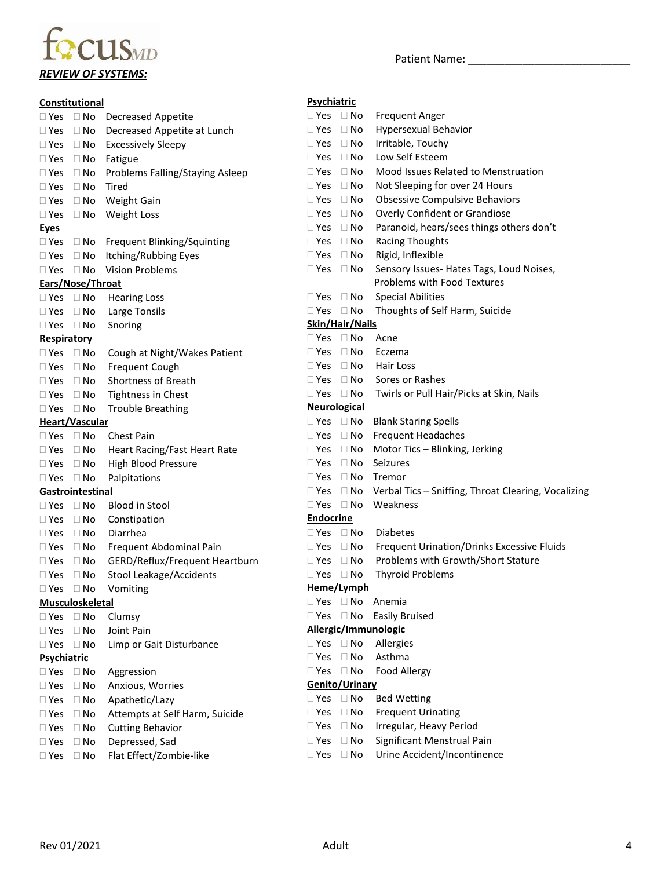## focus<sub>MD</sub> *REVIEW OF SYSTEMS:*

Patient Name: \_\_\_\_\_\_\_\_\_\_\_\_\_\_\_\_\_\_\_\_\_\_\_\_\_\_\_

|                      | Constitutional         |                                       | Psychiatric          |                      |                                                               |
|----------------------|------------------------|---------------------------------------|----------------------|----------------------|---------------------------------------------------------------|
|                      |                        | □ Yes □ No Decreased Appetite         | $\Box$ Yes $\Box$ No |                      | <b>Frequent Anger</b>                                         |
| $\square$ Yes        |                        | □ No Decreased Appetite at Lunch      | $\Box$ Yes           | $\Box$ No            | <b>Hypersexual Behavior</b>                                   |
| $\square$ Yes        |                        | □ No Excessively Sleepy               | $\Box$ Yes           | $\Box$ No            | Irritable, Touchy                                             |
| $\Box$ Yes           |                        | $\Box$ No Fatigue                     | $\square$ Yes        | $\Box$ No            | Low Self Esteem                                               |
| $\Box$ Yes           |                        | □ No Problems Falling/Staying Asleep  | $\Box$ Yes           | $\Box$ No            | Mood Issues Related to Menstruation                           |
| $\Box$ Yes           | $\Box$ No              | Tired                                 | $\Box$ Yes           | $\Box$ No            | Not Sleeping for over 24 Hours                                |
| $\Box$ Yes           | $\Box$ No              | Weight Gain                           | $\Box$ Yes           | $\Box$ No            | <b>Obsessive Compulsive Behaviors</b>                         |
| $\Box$ Yes           |                        | □ No Weight Loss                      | $\Box$ Yes           | $\Box$ No            | Overly Confident or Grandiose                                 |
| <b>Eyes</b>          |                        |                                       | $\square$ Yes        | $\Box$ No            | Paranoid, hears/sees things others don't                      |
| $\Box$ Yes           |                        | $\Box$ No Frequent Blinking/Squinting | $\Box$ Yes           | $\Box$ No            | <b>Racing Thoughts</b>                                        |
| $\square$ Yes        |                        | $\Box$ No Itching/Rubbing Eyes        | $\Box$ Yes           | $\Box$ No            | Rigid, Inflexible                                             |
|                      |                        | $\Box$ Yes $\Box$ No Vision Problems  | $\Box$ Yes $\Box$ No |                      | Sensory Issues- Hates Tags, Loud Noises,                      |
|                      | Ears/Nose/Throat       |                                       |                      |                      | Problems with Food Textures                                   |
| $\Box$ Yes $\Box$ No |                        | <b>Hearing Loss</b>                   | $\Box$ Yes           | $\Box$ No            | <b>Special Abilities</b>                                      |
| $\square$ Yes        | $\Box$ No              | Large Tonsils                         | $\Box$ Yes $\Box$ No |                      | Thoughts of Self Harm, Suicide                                |
| $\Box$ Yes $\Box$ No |                        | Snoring                               |                      | Skin/Hair/Nails      |                                                               |
| <b>Respiratory</b>   |                        |                                       | $\Box$ Yes $\Box$ No |                      | Acne                                                          |
| $\Box$ Yes $\Box$ No |                        | Cough at Night/Wakes Patient          | $\square$ Yes        | $\Box$ No            | Eczema                                                        |
| $\square$ Yes        | $\Box$ No              | Frequent Cough                        | $\Box$ Yes           | $\Box$ No            | Hair Loss                                                     |
| $\square$ Yes        | $\Box$ No              | Shortness of Breath                   | $\square$ Yes        | $\Box$ No            | Sores or Rashes                                               |
| $\square$ Yes        | $\Box$ No              | Tightness in Chest                    | $\Box$ Yes $\Box$ No |                      | Twirls or Pull Hair/Picks at Skin, Nails                      |
| $\Box$ Yes $\Box$ No |                        | <b>Trouble Breathing</b>              | <b>Neurological</b>  |                      |                                                               |
|                      | <b>Heart/Vascular</b>  |                                       |                      | $\Box$ Yes $\Box$ No | <b>Blank Staring Spells</b>                                   |
| $\Box$ Yes $\Box$ No |                        | <b>Chest Pain</b>                     | $\Box$ Yes           |                      | $\Box$ No Frequent Headaches                                  |
| $\square$ Yes        | $\Box$ No              | Heart Racing/Fast Heart Rate          | $\square$ Yes        |                      | $\Box$ No Motor Tics - Blinking, Jerking                      |
| $\square$ Yes        | $\Box$ No              | <b>High Blood Pressure</b>            | $\square$ Yes        | $\Box$ No            | Seizures                                                      |
| $\Box$ Yes $\Box$ No |                        | Palpitations                          | $\square$ Yes        | $\Box$ No            | Tremor                                                        |
|                      | Gastrointestinal       |                                       | $\square$ Yes        |                      | $\Box$ No Verbal Tics – Sniffing, Throat Clearing, Vocalizing |
| $\Box$ Yes $\Box$ No |                        | <b>Blood in Stool</b>                 | $\Box$ Yes $\Box$ No |                      | Weakness                                                      |
| $\square$ Yes        | $\Box$ No              | Constipation                          | <b>Endocrine</b>     |                      |                                                               |
| $\Box$ Yes           | $\Box$ No              | Diarrhea                              | $\Box$ Yes $\Box$ No |                      | <b>Diabetes</b>                                               |
| $\Box$ Yes           | $\Box$ No              | Frequent Abdominal Pain               | $\Box$ Yes           | $\Box$ No            | Frequent Urination/Drinks Excessive Fluids                    |
| $\Box$ Yes           | $\Box$ No              | GERD/Reflux/Frequent Heartburn        | $\square$ Yes        | $\Box$ No            | Problems with Growth/Short Stature                            |
| $\Box$ Yes $\Box$ No |                        | Stool Leakage/Accidents               | $\Box$ Yes $\Box$ No |                      | <b>Thyroid Problems</b>                                       |
|                      |                        | □ Yes □ No Vomiting                   |                      | Heme/Lymph           |                                                               |
|                      | <b>Musculoskeletal</b> |                                       |                      |                      | $\Box$ Yes $\Box$ No Anemia                                   |
| $\Box$ Yes $\Box$ No |                        | Clumsy                                |                      |                      | □ Yes □ No Easily Bruised                                     |
| $\Box$ Yes $\Box$ No |                        | Joint Pain                            |                      |                      | Allergic/Immunologic                                          |
| $\Box$ Yes $\Box$ No |                        | Limp or Gait Disturbance              | $\Box$ Yes $\Box$ No |                      | Allergies                                                     |
| <b>Psychiatric</b>   |                        |                                       | $\Box$ Yes           | $\Box$ No            | Asthma                                                        |
| $\Box$ Yes $\Box$ No |                        | Aggression                            | $\Box$ Yes $\Box$ No |                      | <b>Food Allergy</b>                                           |
| $\Box$ Yes           | $\Box$ No              | Anxious, Worries                      |                      | Genito/Urinary       |                                                               |
| $\square$ Yes        | $\Box$ No              | Apathetic/Lazy                        | $\square$ Yes        | $\Box$ No            | <b>Bed Wetting</b>                                            |
| $\Box$ Yes           | $\Box$ No              | Attempts at Self Harm, Suicide        | $\Box$ Yes           | $\Box$ No            | <b>Frequent Urinating</b>                                     |
| $\Box$ Yes           | $\Box$ No              | <b>Cutting Behavior</b>               | $\square$ Yes        | $\Box$ No            | Irregular, Heavy Period                                       |
| $\Box$ Yes           | $\Box$ No              | Depressed, Sad                        | $\Box$ Yes           | $\Box$ No            | Significant Menstrual Pain                                    |
| $\square$ Yes        | $\Box$ No              | Flat Effect/Zombie-like               | $\Box$ Yes           | $\Box$ No            | Urine Accident/Incontinence                                   |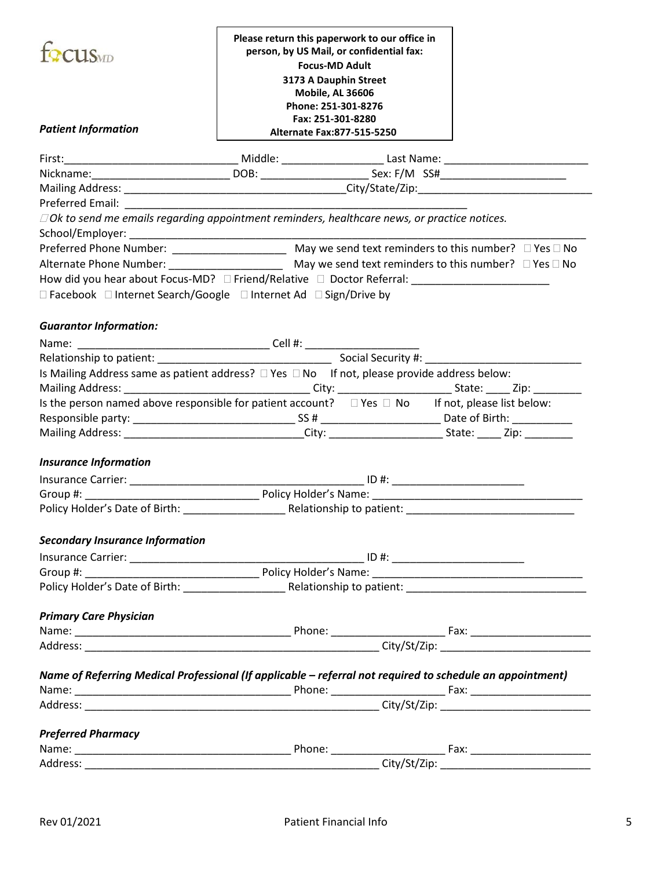| focus                                                                                                                | Please return this paperwork to our office in<br>person, by US Mail, or confidential fax:<br><b>Focus-MD Adult</b><br>3173 A Dauphin Street<br>Mobile, AL 36606<br>Phone: 251-301-8276<br>Fax: 251-301-8280 |                          |  |  |  |  |
|----------------------------------------------------------------------------------------------------------------------|-------------------------------------------------------------------------------------------------------------------------------------------------------------------------------------------------------------|--------------------------|--|--|--|--|
| <b>Patient Information</b>                                                                                           | Alternate Fax:877-515-5250                                                                                                                                                                                  |                          |  |  |  |  |
|                                                                                                                      |                                                                                                                                                                                                             |                          |  |  |  |  |
| Nickname: _________________________________DOB: ________________________________Sex: F/M SS#________________________ |                                                                                                                                                                                                             |                          |  |  |  |  |
|                                                                                                                      |                                                                                                                                                                                                             |                          |  |  |  |  |
|                                                                                                                      |                                                                                                                                                                                                             |                          |  |  |  |  |
| $\Box$ Ok to send me emails regarding appointment reminders, healthcare news, or practice notices.                   |                                                                                                                                                                                                             |                          |  |  |  |  |
|                                                                                                                      |                                                                                                                                                                                                             |                          |  |  |  |  |
|                                                                                                                      |                                                                                                                                                                                                             |                          |  |  |  |  |
|                                                                                                                      |                                                                                                                                                                                                             |                          |  |  |  |  |
| How did you hear about Focus-MD? □ Friend/Relative □ Doctor Referral: _____________________________                  |                                                                                                                                                                                                             |                          |  |  |  |  |
| □ Facebook □ Internet Search/Google □ Internet Ad □ Sign/Drive by                                                    |                                                                                                                                                                                                             |                          |  |  |  |  |
|                                                                                                                      |                                                                                                                                                                                                             |                          |  |  |  |  |
| <b>Guarantor Information:</b>                                                                                        |                                                                                                                                                                                                             |                          |  |  |  |  |
|                                                                                                                      |                                                                                                                                                                                                             |                          |  |  |  |  |
|                                                                                                                      |                                                                                                                                                                                                             |                          |  |  |  |  |
| Is Mailing Address same as patient address? $\Box$ Yes $\Box$ No If not, please provide address below:               |                                                                                                                                                                                                             |                          |  |  |  |  |
|                                                                                                                      |                                                                                                                                                                                                             |                          |  |  |  |  |
| Is the person named above responsible for patient account? $\Box$ Yes $\Box$ No If not, please list below:           |                                                                                                                                                                                                             |                          |  |  |  |  |
|                                                                                                                      |                                                                                                                                                                                                             |                          |  |  |  |  |
| Mailing Address: __________________________________City: ________________________State: ______Zip: ___________       |                                                                                                                                                                                                             |                          |  |  |  |  |
| <b>Insurance Information</b>                                                                                         |                                                                                                                                                                                                             |                          |  |  |  |  |
|                                                                                                                      |                                                                                                                                                                                                             |                          |  |  |  |  |
|                                                                                                                      |                                                                                                                                                                                                             |                          |  |  |  |  |
| Policy Holder's Date of Birth: National Policy Holder's Date of Birth:                                               |                                                                                                                                                                                                             | Relationship to patient: |  |  |  |  |
|                                                                                                                      |                                                                                                                                                                                                             |                          |  |  |  |  |
| <b>Secondary Insurance Information</b>                                                                               |                                                                                                                                                                                                             |                          |  |  |  |  |
|                                                                                                                      |                                                                                                                                                                                                             |                          |  |  |  |  |
|                                                                                                                      |                                                                                                                                                                                                             |                          |  |  |  |  |
|                                                                                                                      |                                                                                                                                                                                                             |                          |  |  |  |  |
|                                                                                                                      |                                                                                                                                                                                                             |                          |  |  |  |  |
| <b>Primary Care Physician</b>                                                                                        |                                                                                                                                                                                                             |                          |  |  |  |  |
|                                                                                                                      |                                                                                                                                                                                                             |                          |  |  |  |  |
|                                                                                                                      |                                                                                                                                                                                                             |                          |  |  |  |  |
| Name of Referring Medical Professional (If applicable - referral not required to schedule an appointment)            |                                                                                                                                                                                                             |                          |  |  |  |  |
|                                                                                                                      |                                                                                                                                                                                                             |                          |  |  |  |  |
|                                                                                                                      |                                                                                                                                                                                                             |                          |  |  |  |  |
|                                                                                                                      |                                                                                                                                                                                                             |                          |  |  |  |  |
|                                                                                                                      |                                                                                                                                                                                                             |                          |  |  |  |  |
| <b>Preferred Pharmacy</b>                                                                                            |                                                                                                                                                                                                             |                          |  |  |  |  |
|                                                                                                                      |                                                                                                                                                                                                             |                          |  |  |  |  |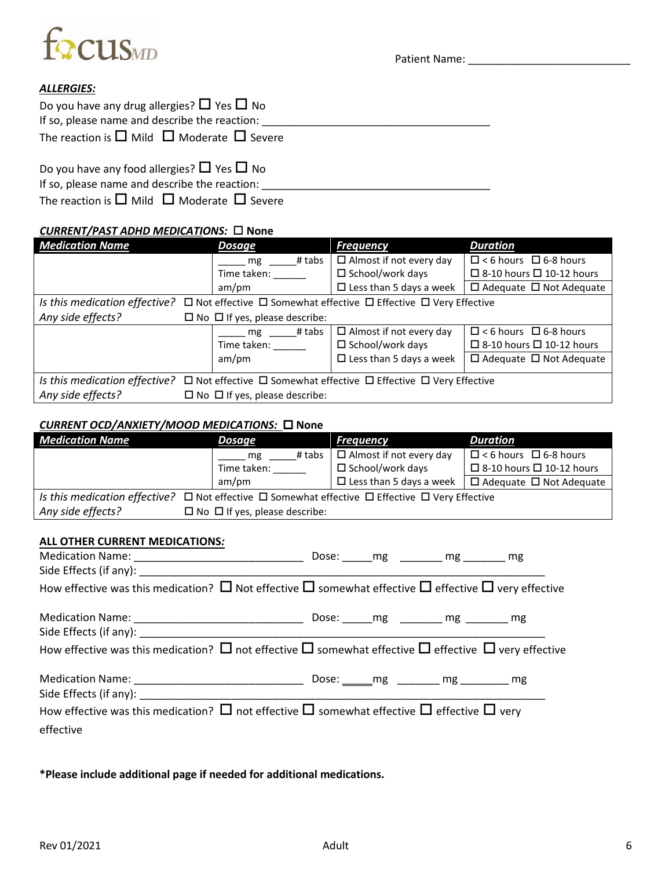

#### *ALLERGIES:*

| Do you have any drug allergies? $\Box$ Yes $\Box$ No               |  |
|--------------------------------------------------------------------|--|
| If so, please name and describe the reaction:                      |  |
| The reaction is $\square$ Mild $\square$ Moderate $\square$ Severe |  |
| Do you have any food allergies? $\Box$ Yes $\Box$ No               |  |
| If so, please name and describe the reaction:                      |  |

The reaction is  $\Box$  Mild  $\Box$  Moderate  $\Box$  Severe

#### *CURRENT/PAST ADHD MEDICATIONS:*  **None**

| <b>Medication Name</b>                                                                                              | <b>Dosage</b>                                                                                                       | <b>Frequency</b>                  | <b>Duration</b>                      |  |  |  |  |  |
|---------------------------------------------------------------------------------------------------------------------|---------------------------------------------------------------------------------------------------------------------|-----------------------------------|--------------------------------------|--|--|--|--|--|
|                                                                                                                     | # tabs<br>mg                                                                                                        | $\Box$ Almost if not every day    | $\Box$ < 6 hours $\Box$ 6-8 hours    |  |  |  |  |  |
|                                                                                                                     | Time taken:                                                                                                         | $\Box$ School/work days           | $\Box$ 8-10 hours $\Box$ 10-12 hours |  |  |  |  |  |
|                                                                                                                     | am/pm                                                                                                               | $\Box$ Less than 5 days a week    | $\Box$ Adequate $\Box$ Not Adequate  |  |  |  |  |  |
| Is this medication effective? $\Box$ Not effective $\Box$ Somewhat effective $\Box$ Effective $\Box$ Very Effective |                                                                                                                     |                                   |                                      |  |  |  |  |  |
| Any side effects?                                                                                                   | $\Box$ No $\Box$ If yes, please describe:                                                                           |                                   |                                      |  |  |  |  |  |
|                                                                                                                     | # tabs<br>mg                                                                                                        | $\Box$ Almost if not every day    | $\Box$ < 6 hours $\Box$ 6-8 hours    |  |  |  |  |  |
|                                                                                                                     | Time taken:                                                                                                         | $\Box$ School/work days           | $\Box$ 8-10 hours $\Box$ 10-12 hours |  |  |  |  |  |
|                                                                                                                     | am/m                                                                                                                | $\square$ Less than 5 days a week | $\Box$ Adequate $\Box$ Not Adequate  |  |  |  |  |  |
|                                                                                                                     | Is this medication effective? $\Box$ Not effective $\Box$ Somewhat effective $\Box$ Effective $\Box$ Very Effective |                                   |                                      |  |  |  |  |  |
| Any side effects?                                                                                                   | $\Box$ No $\Box$ If yes, please describe:                                                                           |                                   |                                      |  |  |  |  |  |

#### *CURRENT OCD/ANXIETY/MOOD MEDICATIONS:* **None**

| <b>Medication Name</b>                                                                                                                                                                                                         | <b>Dosage</b>          | <b>Frequency</b>               | <b>Duration</b>                                                    |  |  |  |  |  |
|--------------------------------------------------------------------------------------------------------------------------------------------------------------------------------------------------------------------------------|------------------------|--------------------------------|--------------------------------------------------------------------|--|--|--|--|--|
|                                                                                                                                                                                                                                | ______ mg ______# tabs | $\Box$ Almost if not every day | $\Box$ < 6 hours $\Box$ 6-8 hours                                  |  |  |  |  |  |
|                                                                                                                                                                                                                                | Time taken: ______     | $\square$ School/work days     | $\Box$ 8-10 hours $\Box$ 10-12 hours                               |  |  |  |  |  |
|                                                                                                                                                                                                                                | am/pm                  |                                | $\Box$ Less than 5 days a week $\Box$ Adequate $\Box$ Not Adequate |  |  |  |  |  |
| Is this medication effective? $\Box$ Not effective $\Box$ Somewhat effective $\Box$ Effective $\Box$ Very Effective                                                                                                            |                        |                                |                                                                    |  |  |  |  |  |
| Any side effects? $\square$ No $\square$ if yes, please describe:                                                                                                                                                              |                        |                                |                                                                    |  |  |  |  |  |
|                                                                                                                                                                                                                                |                        |                                |                                                                    |  |  |  |  |  |
| ALL OTHER CURRENT MEDICATIONS:                                                                                                                                                                                                 |                        |                                |                                                                    |  |  |  |  |  |
|                                                                                                                                                                                                                                |                        | Dose: mg mg mg mg              |                                                                    |  |  |  |  |  |
| Side Effects (if any): Note that the state of the state of the state of the state of the state of the state of the state of the state of the state of the state of the state of the state of the state of the state of the sta |                        |                                |                                                                    |  |  |  |  |  |
| How effective was this medication? $\Box$ Not effective $\Box$ somewhat effective $\Box$ effective $\Box$ very effective                                                                                                       |                        |                                |                                                                    |  |  |  |  |  |
|                                                                                                                                                                                                                                |                        |                                |                                                                    |  |  |  |  |  |
|                                                                                                                                                                                                                                |                        |                                |                                                                    |  |  |  |  |  |
| How effective was this medication? $\Box$ not effective $\Box$ somewhat effective $\Box$ effective $\Box$ very effective                                                                                                       |                        |                                |                                                                    |  |  |  |  |  |
|                                                                                                                                                                                                                                |                        | Dose:                          | mg                                                                 |  |  |  |  |  |

Side Effects (if any): \_\_\_\_\_\_\_\_\_\_\_\_\_\_\_\_\_\_\_\_\_\_\_\_\_\_\_\_\_\_\_\_\_\_\_\_\_\_\_\_\_\_\_\_\_\_\_\_\_\_\_\_\_\_\_\_\_\_\_\_\_\_\_\_\_\_\_ How effective was this medication?  $\square$  not effective  $\square$  somewhat effective  $\square$  effective  $\square$  very effective

**\*Please include additional page if needed for additional medications.**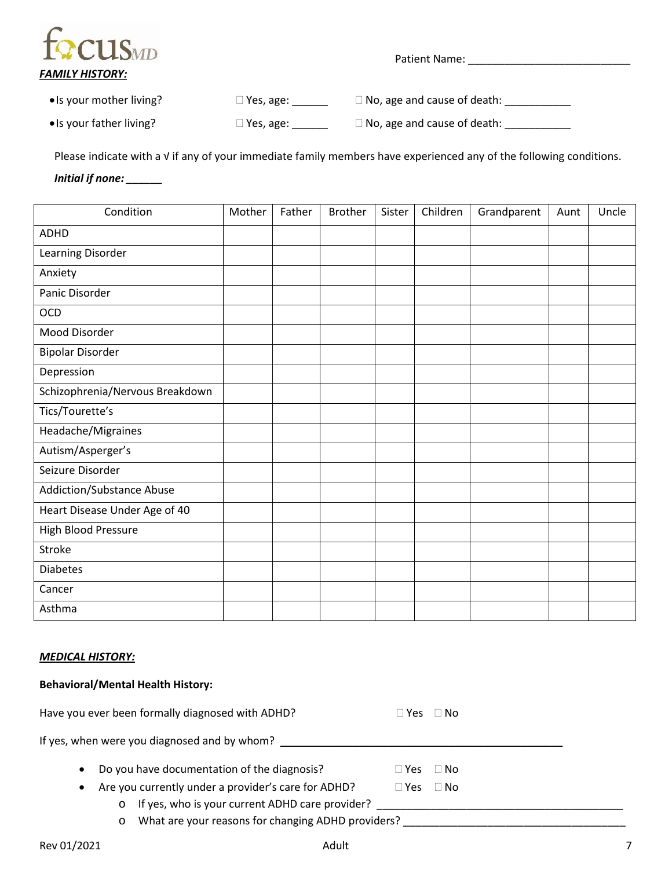

| • Is your mother living? | $\Box$ Yes, age: | $\Box$ No, age and cause of death: |
|--------------------------|------------------|------------------------------------|
|--------------------------|------------------|------------------------------------|

• Is your father living?  $\Box$  Yes, age:  $\Box$  No, age and cause of death:  $\Box$ 

Please indicate with a √ if any of your immediate family members have experienced any of the following conditions.

#### *Initial if none: \_\_\_\_\_\_*

| Condition                       | Mother | Father | <b>Brother</b> | Sister | Children | Grandparent | Aunt | Uncle |
|---------------------------------|--------|--------|----------------|--------|----------|-------------|------|-------|
| <b>ADHD</b>                     |        |        |                |        |          |             |      |       |
| Learning Disorder               |        |        |                |        |          |             |      |       |
| Anxiety                         |        |        |                |        |          |             |      |       |
| Panic Disorder                  |        |        |                |        |          |             |      |       |
| OCD                             |        |        |                |        |          |             |      |       |
| Mood Disorder                   |        |        |                |        |          |             |      |       |
| <b>Bipolar Disorder</b>         |        |        |                |        |          |             |      |       |
| Depression                      |        |        |                |        |          |             |      |       |
| Schizophrenia/Nervous Breakdown |        |        |                |        |          |             |      |       |
| Tics/Tourette's                 |        |        |                |        |          |             |      |       |
| Headache/Migraines              |        |        |                |        |          |             |      |       |
| Autism/Asperger's               |        |        |                |        |          |             |      |       |
| Seizure Disorder                |        |        |                |        |          |             |      |       |
| Addiction/Substance Abuse       |        |        |                |        |          |             |      |       |
| Heart Disease Under Age of 40   |        |        |                |        |          |             |      |       |
| High Blood Pressure             |        |        |                |        |          |             |      |       |
| Stroke                          |        |        |                |        |          |             |      |       |
| <b>Diabetes</b>                 |        |        |                |        |          |             |      |       |
| Cancer                          |        |        |                |        |          |             |      |       |
| Asthma                          |        |        |                |        |          |             |      |       |

#### *MEDICAL HISTORY:*

#### **Behavioral/Mental Health History:**

|           | Have you ever been formally diagnosed with ADHD?           | $\Box$ Yes $\Box$ No       |  |
|-----------|------------------------------------------------------------|----------------------------|--|
|           | If yes, when were you diagnosed and by whom?               |                            |  |
| $\bullet$ | Do you have documentation of the diagnosis?                | $\square$ Yes<br>⊟ No      |  |
| $\bullet$ | Are you currently under a provider's care for ADHD?        | $\Box$ No<br>$\square$ Yes |  |
|           | If yes, who is your current ADHD care provider?<br>$\circ$ |                            |  |
|           | What are your reasons for changing ADHD providers?<br>O    |                            |  |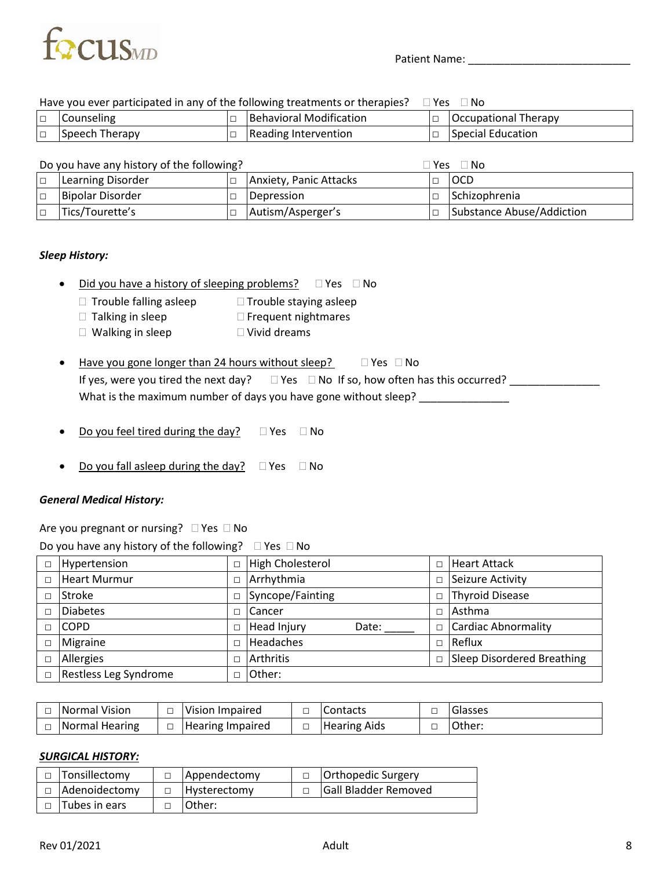

#### Have you ever participated in any of the following treatments or therapies?  $\Box$  Yes  $\Box$  No

| $\Box$ | <b>Counseling</b> | Behavioral Modification | <b>Occupational Therapy</b> |
|--------|-------------------|-------------------------|-----------------------------|
| $\Box$ | Speech Therapy    | Reading Intervention    | Special Education           |

| Do you have any history of the following? |            |                        | $\Box$ Yes $\Box$ | ∣No                       |
|-------------------------------------------|------------|------------------------|-------------------|---------------------------|
| Learning Disorder                         | $\Box$     | Anxiety, Panic Attacks |                   | locd                      |
| Bipolar Disorder                          | $\sqrt{2}$ | Depression             |                   | Schizophrenia             |
| Tics/Tourette's                           |            | Autism/Asperger's      |                   | Substance Abuse/Addiction |

#### *Sleep History:*

- Did you have a history of sleeping problems?  $\Box$  Yes  $\Box$  No
	- $\Box$  Trouble falling asleep  $\Box$  Trouble staying asleep
	- $\Box$  Talking in sleep  $\Box$  Frequent nightmares
	- $\Box$  Walking in sleep  $\Box$  Vivid dreams

| Have you gone longer than 24 hours without sleep? | $\Box$ Yes $\Box$ No |
|---------------------------------------------------|----------------------|
|                                                   |                      |

|                                                                 | If yes, were you tired the next day? $\square$ Yes $\square$ No If so, how often has this occurred? |
|-----------------------------------------------------------------|-----------------------------------------------------------------------------------------------------|
| What is the maximum number of days you have gone without sleep? |                                                                                                     |

- Do you feel tired during the day?  $\Box$  Yes  $\Box$  No
- Do you fall asleep during the day?  $\Box$  Yes  $\Box$  No

#### *General Medical History:*

| Are you pregnant or nursing? $\Box$ Yes $\Box$ No |  |
|---------------------------------------------------|--|
|                                                   |  |

| Do you have any history of the following? |  | $\Box$ Yes $\Box$ No |
|-------------------------------------------|--|----------------------|
|-------------------------------------------|--|----------------------|

| D      | Hypertension          | High Cholesterol            |        | <b>Heart Attack</b>               |
|--------|-----------------------|-----------------------------|--------|-----------------------------------|
| $\Box$ | <b>Heart Murmur</b>   | Arrhythmia<br>$\Box$        |        | Seizure Activity                  |
|        | <b>Stroke</b>         | Syncope/Fainting            | $\Box$ | <b>Thyroid Disease</b>            |
| г      | <b>Diabetes</b>       | <b>Cancer</b>               |        | l Asthma                          |
|        | <b>COPD</b>           | <b>Head Injury</b><br>Date: | $\Box$ | <b>Cardiac Abnormality</b>        |
| $\Box$ | Migraine              | <b>Headaches</b>            | $\Box$ | Reflux                            |
| П      | Allergies             | <b>Arthritis</b>            |        | <b>Sleep Disordered Breathing</b> |
| П      | Restless Leg Syndrome | Other:                      |        |                                   |

| Normal Vision         | l Vision Impaired | Contacts            | $\overline{\phantom{a}}$ | <b>Glasses</b> |
|-----------------------|-------------------|---------------------|--------------------------|----------------|
| <b>Normal Hearing</b> | Hearing Impaired  | <b>Hearing Aids</b> |                          | Other:         |

#### *SURGICAL HISTORY:*

| Tonsillectomy | Appendectomy        | Orthopedic Surgery          |
|---------------|---------------------|-----------------------------|
| Adenoidectomy | <b>Hysterectomy</b> | <b>Gall Bladder Removed</b> |
| Tubes in ears | IOther:             |                             |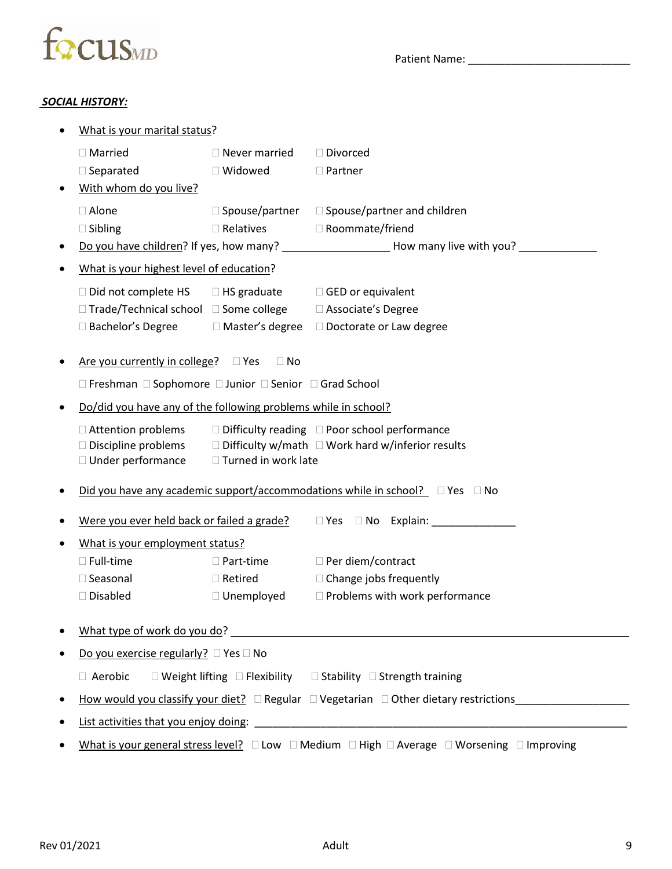

#### *SOCIAL HISTORY:*

| What is your marital status?                                   |                          |                                                                                                                                                                                                                                |
|----------------------------------------------------------------|--------------------------|--------------------------------------------------------------------------------------------------------------------------------------------------------------------------------------------------------------------------------|
| $\Box$ Married                                                 | $\Box$ Never married     | □ Divorced                                                                                                                                                                                                                     |
| $\Box$ Separated                                               | □ Widowed                | $\Box$ Partner                                                                                                                                                                                                                 |
| With whom do you live?                                         |                          |                                                                                                                                                                                                                                |
| $\Box$ Alone                                                   | $\square$ Spouse/partner | $\Box$ Spouse/partner and children                                                                                                                                                                                             |
| $\square$ Sibling                                              | $\square$ Relatives      | □ Roommate/friend                                                                                                                                                                                                              |
|                                                                |                          | Do you have children? If yes, how many? __________________________How many live with you? ___________________                                                                                                                  |
| What is your highest level of education?                       |                          |                                                                                                                                                                                                                                |
| □ Did not complete HS                                          | $\Box$ HS graduate       | $\Box$ GED or equivalent                                                                                                                                                                                                       |
| □ Trade/Technical school □ Some college                        |                          | □ Associate's Degree                                                                                                                                                                                                           |
| □ Bachelor's Degree                                            | □ Master's degree        | □ Doctorate or Law degree                                                                                                                                                                                                      |
| Are you currently in college? $\Box$ Yes                       | $\Box$ No                |                                                                                                                                                                                                                                |
| □ Freshman □ Sophomore □ Junior □ Senior □ Grad School         |                          |                                                                                                                                                                                                                                |
| Do/did you have any of the following problems while in school? |                          |                                                                                                                                                                                                                                |
| □ Attention problems                                           |                          | $\Box$ Difficulty reading $\Box$ Poor school performance                                                                                                                                                                       |
| □ Discipline problems                                          |                          | $\Box$ Difficulty w/math $\Box$ Work hard w/inferior results                                                                                                                                                                   |
| □ Under performance                                            | □ Turned in work late    |                                                                                                                                                                                                                                |
|                                                                |                          | Did you have any academic support/accommodations while in school? $\square$ Yes $\square$ No                                                                                                                                   |
| Were you ever held back or failed a grade?                     |                          | □ Yes □ No Explain:                                                                                                                                                                                                            |
| What is your employment status?                                |                          |                                                                                                                                                                                                                                |
| $\Box$ Full-time                                               | $\Box$ Part-time         | □ Per diem/contract                                                                                                                                                                                                            |
| $\Box$ Seasonal                                                | $\Box$ Retired           | $\Box$ Change jobs frequently                                                                                                                                                                                                  |
| $\square$ Disabled                                             | $\Box$ Unemployed        | Problems with work performance                                                                                                                                                                                                 |
|                                                                |                          | What type of work do you do? The contract of the contract of the contract of the contract of the contract of the contract of the contract of the contract of the contract of the contract of the contract of the contract of t |
| Do you exercise regularly? $\Box$ Yes $\Box$ No                |                          |                                                                                                                                                                                                                                |
|                                                                |                          | $\Box$ Aerobic $\Box$ Weight lifting $\Box$ Flexibility $\Box$ Stability $\Box$ Strength training                                                                                                                              |
|                                                                |                          | How would you classify your diet? $\Box$ Regular $\Box$ Vegetarian $\Box$ Other dietary restrictions                                                                                                                           |
|                                                                |                          |                                                                                                                                                                                                                                |
|                                                                |                          | What is your general stress level? $\square$ Low $\square$ Medium $\square$ High $\square$ Average $\square$ Worsening $\square$ Improving                                                                                     |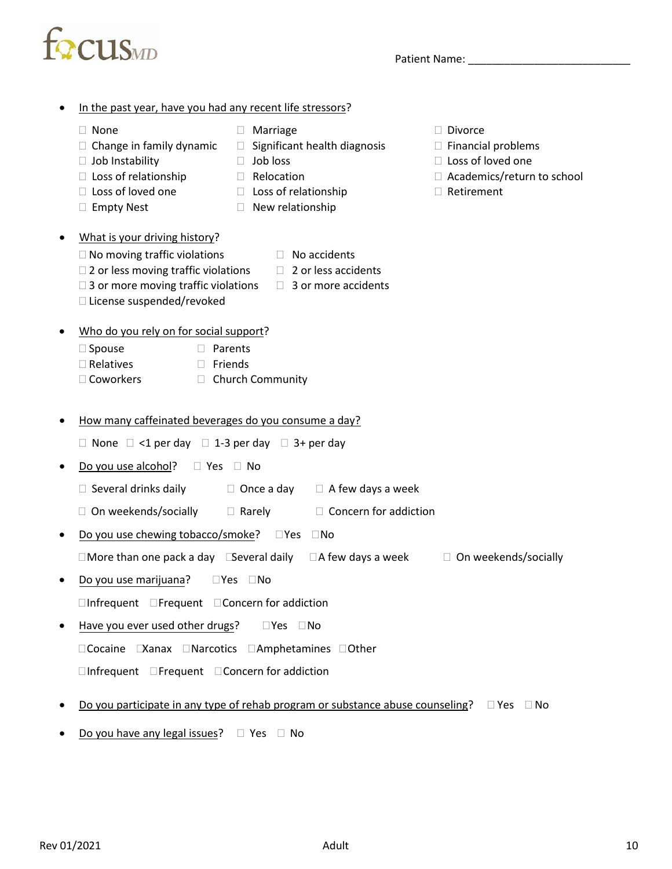| ٠         | In the past year, have you had any recent life stressors?                                                                                                                                       |                                                                                                                            |                                                            |        |                                                                                                                       |
|-----------|-------------------------------------------------------------------------------------------------------------------------------------------------------------------------------------------------|----------------------------------------------------------------------------------------------------------------------------|------------------------------------------------------------|--------|-----------------------------------------------------------------------------------------------------------------------|
|           | None<br>H<br>$\Box$ Change in family dynamic<br>$\Box$ Job Instability<br>$\Box$ Loss of relationship<br>$\Box$ Loss of loved one<br><b>Empty Nest</b><br>$\Box$                                | Marriage<br>$\Box$<br>⊔<br>Job loss<br>$\Box$<br>Relocation<br>U.<br>$\Box$ Loss of relationship<br>New relationship<br>П. | Significant health diagnosis                               |        | <b>Divorce</b><br>$\Box$ Financial problems<br>$\Box$ Loss of loved one<br>□ Academics/return to school<br>Retirement |
| $\bullet$ | What is your driving history?<br>$\Box$ No moving traffic violations<br>$\Box$ 2 or less moving traffic violations<br>$\Box$ 3 or more moving traffic violations<br>□ License suspended/revoked | $\mathbb{R}^n$<br>$\Box$<br>$\mathbb{R}^n$                                                                                 | No accidents<br>2 or less accidents<br>3 or more accidents |        |                                                                                                                       |
| $\bullet$ | Who do you rely on for social support?<br>□ Spouse<br>П<br>Parents<br>$\Box$ Relatives<br>Friends<br>П<br>□ Coworkers<br>$\Box$                                                                 | Church Community                                                                                                           |                                                            |        |                                                                                                                       |
| ٠         | How many caffeinated beverages do you consume a day?                                                                                                                                            |                                                                                                                            |                                                            |        |                                                                                                                       |
|           | □ None □ <1 per day □ 1-3 per day □ 3+ per day                                                                                                                                                  |                                                                                                                            |                                                            |        |                                                                                                                       |
| $\bullet$ | Do you use alcohol?<br>$\Box$ Yes                                                                                                                                                               | ⊟ No                                                                                                                       |                                                            |        |                                                                                                                       |
|           | $\Box$ Several drinks daily                                                                                                                                                                     | $\Box$ Once a day                                                                                                          | $\Box$ A few days a week                                   |        |                                                                                                                       |
|           | □ On weekends/socially                                                                                                                                                                          | $\Box$ Rarely                                                                                                              | $\Box$ Concern for addiction                               |        |                                                                                                                       |
| ٠         | Do you use chewing tobacco/smoke?                                                                                                                                                               | $\square$ Yes                                                                                                              | $\Box$ No                                                  |        |                                                                                                                       |
|           | $\Box$ More than one pack a day $\Box$ Several daily                                                                                                                                            |                                                                                                                            | $\Box$ A few days a week                                   | $\Box$ | On weekends/socially                                                                                                  |
| ٠         | Do you use marijuana?                                                                                                                                                                           | $\square$ Yes $\square$ No                                                                                                 |                                                            |        |                                                                                                                       |
|           | $\Box$ Infrequent $\Box$ Frequent $\Box$ Concern for addiction                                                                                                                                  |                                                                                                                            |                                                            |        |                                                                                                                       |
| $\bullet$ | Have you ever used other drugs?                                                                                                                                                                 | $\Box Y$ es $\Box$ No                                                                                                      |                                                            |        |                                                                                                                       |
|           | □Cocaine EXanax □Narcotics □Amphetamines □Other                                                                                                                                                 |                                                                                                                            |                                                            |        |                                                                                                                       |
|           | $\Box$ Infrequent $\Box$ Frequent $\Box$ Concern for addiction                                                                                                                                  |                                                                                                                            |                                                            |        |                                                                                                                       |
|           |                                                                                                                                                                                                 |                                                                                                                            |                                                            |        |                                                                                                                       |

- Do you participate in any type of rehab program or substance abuse counseling?  $\Box$  Yes  $\Box$  No
- Do you have any legal issues?  $\Box$  Yes  $\Box$  No

focus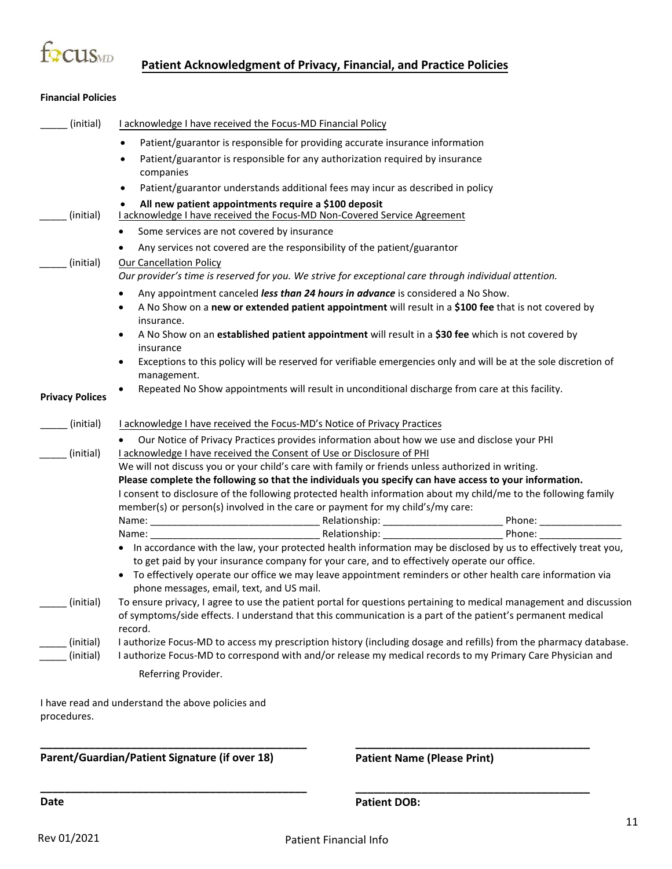

#### **Financial Policies**

| (initial)              | I acknowledge I have received the Focus-MD Financial Policy                                                                                                                                                                                  |
|------------------------|----------------------------------------------------------------------------------------------------------------------------------------------------------------------------------------------------------------------------------------------|
|                        | Patient/guarantor is responsible for providing accurate insurance information<br>$\bullet$                                                                                                                                                   |
|                        | Patient/guarantor is responsible for any authorization required by insurance<br>$\bullet$<br>companies                                                                                                                                       |
|                        | Patient/guarantor understands additional fees may incur as described in policy<br>$\bullet$                                                                                                                                                  |
| (initial)              | All new patient appointments require a \$100 deposit<br>I acknowledge I have received the Focus-MD Non-Covered Service Agreement                                                                                                             |
|                        | Some services are not covered by insurance<br>٠                                                                                                                                                                                              |
|                        | Any services not covered are the responsibility of the patient/guarantor<br>٠                                                                                                                                                                |
| (initial)              | <b>Our Cancellation Policy</b>                                                                                                                                                                                                               |
|                        | Our provider's time is reserved for you. We strive for exceptional care through individual attention.                                                                                                                                        |
|                        | Any appointment canceled less than 24 hours in advance is considered a No Show.<br>٠                                                                                                                                                         |
|                        | A No Show on a new or extended patient appointment will result in a \$100 fee that is not covered by<br>٠<br>insurance.                                                                                                                      |
|                        | A No Show on an established patient appointment will result in a \$30 fee which is not covered by<br>٠<br>insurance                                                                                                                          |
|                        | Exceptions to this policy will be reserved for verifiable emergencies only and will be at the sole discretion of<br>٠<br>management.                                                                                                         |
| <b>Privacy Polices</b> | Repeated No Show appointments will result in unconditional discharge from care at this facility.                                                                                                                                             |
| (initial)              | I acknowledge I have received the Focus-MD's Notice of Privacy Practices                                                                                                                                                                     |
|                        | Our Notice of Privacy Practices provides information about how we use and disclose your PHI                                                                                                                                                  |
| (initial)              | I acknowledge I have received the Consent of Use or Disclosure of PHI                                                                                                                                                                        |
|                        | We will not discuss you or your child's care with family or friends unless authorized in writing.                                                                                                                                            |
|                        | Please complete the following so that the individuals you specify can have access to your information.<br>I consent to disclosure of the following protected health information about my child/me to the following family                    |
|                        | member(s) or person(s) involved in the care or payment for my child's/my care:                                                                                                                                                               |
|                        |                                                                                                                                                                                                                                              |
|                        |                                                                                                                                                                                                                                              |
|                        | • In accordance with the law, your protected health information may be disclosed by us to effectively treat you,<br>to get paid by your insurance company for your care, and to effectively operate our office.                              |
|                        | • To effectively operate our office we may leave appointment reminders or other health care information via<br>phone messages, email, text, and US mail.                                                                                     |
| $\_$ (initial)         | To ensure privacy, I agree to use the patient portal for questions pertaining to medical management and discussion<br>of symptoms/side effects. I understand that this communication is a part of the patient's permanent medical<br>record. |
| (initial)              | I authorize Focus-MD to access my prescription history (including dosage and refills) from the pharmacy database.                                                                                                                            |
| (initial)              | I authorize Focus-MD to correspond with and/or release my medical records to my Primary Care Physician and                                                                                                                                   |
|                        | Referring Provider.                                                                                                                                                                                                                          |
| procedures.            | I have read and understand the above policies and                                                                                                                                                                                            |

**Parent/Guardian/Patient Signature (if over 18)** 

**\_\_\_\_\_\_\_\_\_\_\_\_\_\_\_\_\_\_\_\_\_\_\_\_\_\_\_\_\_\_\_\_\_\_\_\_\_\_\_\_\_\_\_\_** 

**\_\_\_\_\_\_\_\_\_\_\_\_\_\_\_\_\_\_\_\_\_\_\_\_\_\_\_\_\_\_\_\_\_\_\_\_\_\_\_\_\_\_\_\_** 

**Patient Name (Please Print)**

**\_\_\_\_\_\_\_\_\_\_\_\_\_\_\_\_\_\_\_\_\_\_\_\_\_\_\_\_\_\_\_\_\_\_\_\_\_\_\_** 

**\_\_\_\_\_\_\_\_\_\_\_\_\_\_\_\_\_\_\_\_\_\_\_\_\_\_\_\_\_\_\_\_\_\_\_\_\_\_\_**

**Date** 

**Patient DOB:**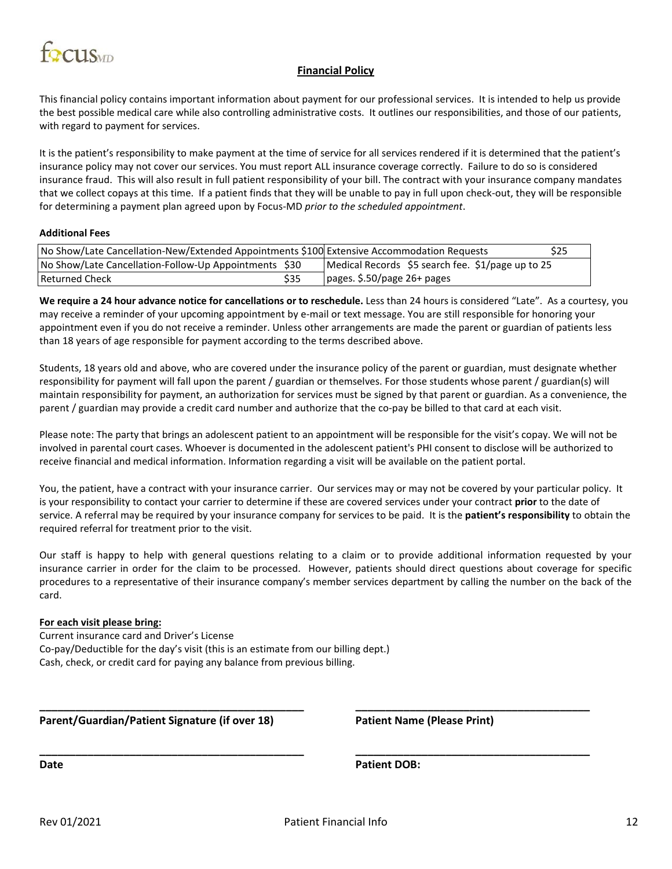

#### **Financial Policy**

This financial policy contains important information about payment for our professional services. It is intended to help us provide the best possible medical care while also controlling administrative costs. It outlines our responsibilities, and those of our patients, with regard to payment for services.

It is the patient's responsibility to make payment at the time of service for all services rendered if it is determined that the patient's insurance policy may not cover our services. You must report ALL insurance coverage correctly. Failure to do so is considered insurance fraud. This will also result in full patient responsibility of your bill. The contract with your insurance company mandates that we collect copays at this time. If a patient finds that they will be unable to pay in full upon check-out, they will be responsible for determining a payment plan agreed upon by Focus-MD *prior to the scheduled appointment*.

#### **Additional Fees**

| No Show/Late Cancellation-New/Extended Appointments \$100 Extensive Accommodation Requests |      |                                                   | \$25 |
|--------------------------------------------------------------------------------------------|------|---------------------------------------------------|------|
| No Show/Late Cancellation-Follow-Up Appointments \$30                                      |      | Medical Records \$5 search fee. \$1/page up to 25 |      |
| l Returned Check                                                                           | \$35 | pages. \$.50/page 26+ pages                       |      |

**We require a 24 hour advance notice for cancellations or to reschedule.** Less than 24 hours is considered "Late". As a courtesy, you may receive a reminder of your upcoming appointment by e-mail or text message. You are still responsible for honoring your appointment even if you do not receive a reminder. Unless other arrangements are made the parent or guardian of patients less than 18 years of age responsible for payment according to the terms described above.

Students, 18 years old and above, who are covered under the insurance policy of the parent or guardian, must designate whether responsibility for payment will fall upon the parent / guardian or themselves. For those students whose parent / guardian(s) will maintain responsibility for payment, an authorization for services must be signed by that parent or guardian. As a convenience, the parent / guardian may provide a credit card number and authorize that the co-pay be billed to that card at each visit.

Please note: The party that brings an adolescent patient to an appointment will be responsible for the visit's copay. We will not be involved in parental court cases. Whoever is documented in the adolescent patient's PHI consent to disclose will be authorized to receive financial and medical information. Information regarding a visit will be available on the patient portal.

You, the patient, have a contract with your insurance carrier. Our services may or may not be covered by your particular policy. It is your responsibility to contact your carrier to determine if these are covered services under your contract **prior** to the date of service. A referral may be required by your insurance company for services to be paid. It is the **patient's responsibility** to obtain the required referral for treatment prior to the visit.

Our staff is happy to help with general questions relating to a claim or to provide additional information requested by your insurance carrier in order for the claim to be processed. However, patients should direct questions about coverage for specific procedures to a representative of their insurance company's member services department by calling the number on the back of the card.

#### **For each visit please bring:**

Current insurance card and Driver's License Co-pay/Deductible for the day's visit (this is an estimate from our billing dept.) Cash, check, or credit card for paying any balance from previous billing.

**Parent/Guardian/Patient Signature (if over 18) Patient Name (Please Print)**

**Date Patient DOB:**

**\_\_\_\_\_\_\_\_\_\_\_\_\_\_\_\_\_\_\_\_\_\_\_\_\_\_\_\_\_\_\_\_\_\_\_\_\_\_\_\_\_\_\_\_ \_\_\_\_\_\_\_\_\_\_\_\_\_\_\_\_\_\_\_\_\_\_\_\_\_\_\_\_\_\_\_\_\_\_\_\_\_\_\_** 

**\_\_\_\_\_\_\_\_\_\_\_\_\_\_\_\_\_\_\_\_\_\_\_\_\_\_\_\_\_\_\_\_\_\_\_\_\_\_\_\_\_\_\_\_ \_\_\_\_\_\_\_\_\_\_\_\_\_\_\_\_\_\_\_\_\_\_\_\_\_\_\_\_\_\_\_\_\_\_\_\_\_\_\_**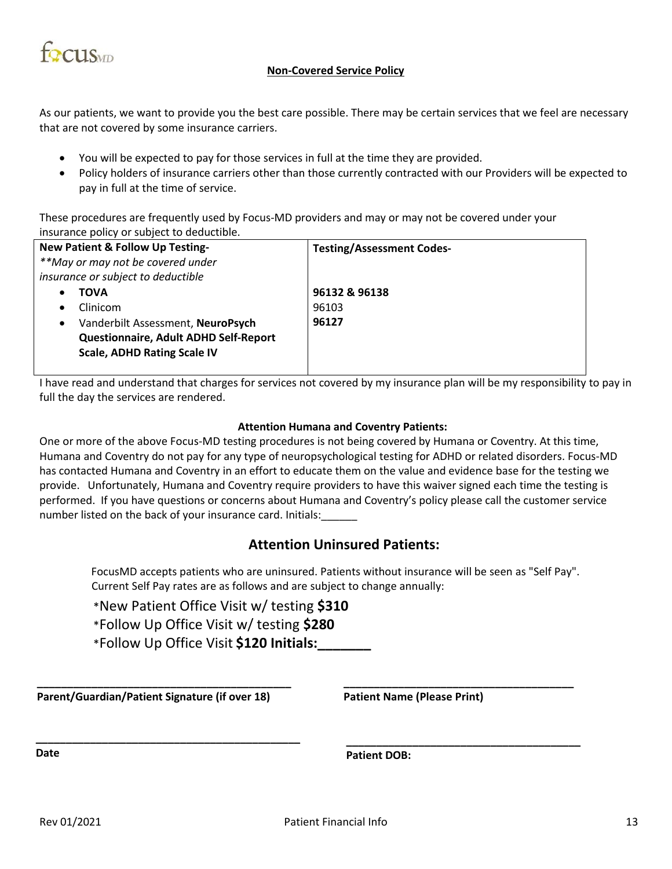

#### **Non-Covered Service Policy**

As our patients, we want to provide you the best care possible. There may be certain services that we feel are necessary that are not covered by some insurance carriers.

- You will be expected to pay for those services in full at the time they are provided.
- Policy holders of insurance carriers other than those currently contracted with our Providers will be expected to pay in full at the time of service.

These procedures are frequently used by Focus-MD providers and may or may not be covered under your insurance policy or subject to deductible.

| <b>New Patient &amp; Follow Up Testing-</b>    | <b>Testing/Assessment Codes-</b> |
|------------------------------------------------|----------------------------------|
| **May or may not be covered under              |                                  |
| insurance or subject to deductible             |                                  |
| <b>TOVA</b>                                    | 96132 & 96138                    |
| Clinicom                                       | 96103                            |
| Vanderbilt Assessment, NeuroPsych<br>$\bullet$ | 96127                            |
| Questionnaire, Adult ADHD Self-Report          |                                  |
| <b>Scale, ADHD Rating Scale IV</b>             |                                  |
|                                                |                                  |

I have read and understand that charges for services not covered by my insurance plan will be my responsibility to pay in full the day the services are rendered.

#### **Attention Humana and Coventry Patients:**

One or more of the above Focus-MD testing procedures is not being covered by Humana or Coventry. At this time, Humana and Coventry do not pay for any type of neuropsychological testing for ADHD or related disorders. Focus-MD has contacted Humana and Coventry in an effort to educate them on the value and evidence base for the testing we provide. Unfortunately, Humana and Coventry require providers to have this waiver signed each time the testing is performed. If you have questions or concerns about Humana and Coventry's policy please call the customer service number listed on the back of your insurance card. Initials:

#### **Attention Uninsured Patients:**

FocusMD accepts patients who are uninsured. Patients without insurance will be seen as "Self Pay". Current Self Pay rates are as follows and are subject to change annually:

- \*New Patient Office Visit w/ testing **\$310**
- \*Follow Up Office Visit w/ testing **\$280**
- \*Follow Up Office Visit **\$120 Initials:\_\_\_\_\_\_\_**

**\_\_\_\_\_\_\_\_\_\_\_\_\_\_\_\_\_\_\_\_\_\_\_\_\_\_\_\_\_\_\_\_\_\_\_\_\_\_\_\_\_\_ Parent/Guardian/Patient Signature (if over 18)** 

**\_\_\_\_\_\_\_\_\_\_\_\_\_\_\_\_\_\_\_\_\_\_\_\_\_\_\_\_\_\_\_\_\_\_\_\_\_\_\_\_\_\_\_\_**

**Patient Name (Please Print)** 

**\_\_\_\_\_\_\_\_\_\_\_\_\_\_\_\_\_\_\_\_\_\_\_\_\_\_\_\_\_\_\_\_\_\_\_\_\_\_**

**\_\_\_\_\_\_\_\_\_\_\_\_\_\_\_\_\_\_\_\_\_\_\_\_\_\_\_\_\_\_\_\_\_\_\_\_\_\_\_**

**Date**

**Patient DOB:**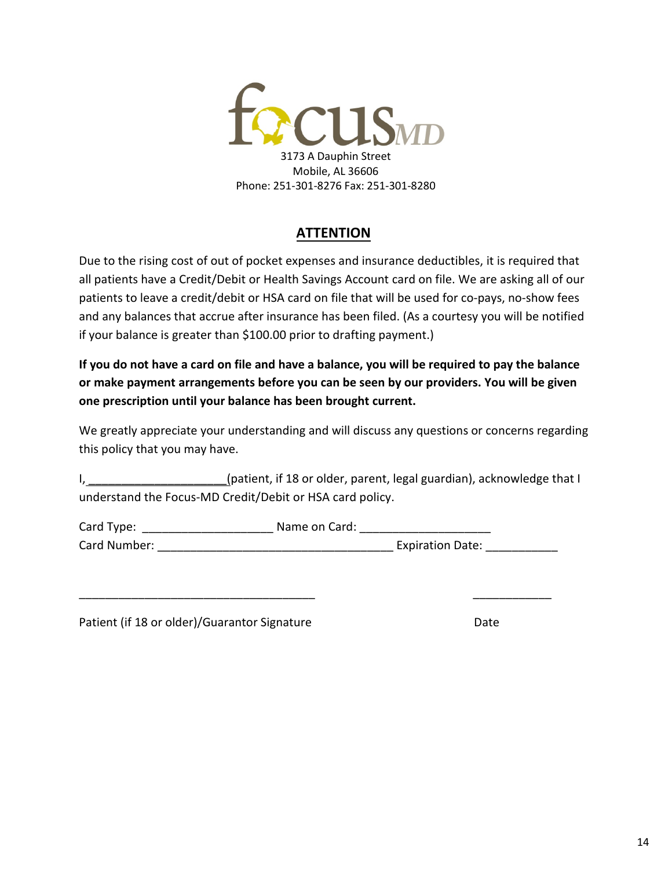

#### **ATTENTION**

Due to the rising cost of out of pocket expenses and insurance deductibles, it is required that all patients have a Credit/Debit or Health Savings Account card on file. We are asking all of our patients to leave a credit/debit or HSA card on file that will be used for co-pays, no-show fees and any balances that accrue after insurance has been filed. (As a courtesy you will be notified if your balance is greater than \$100.00 prior to drafting payment.)

**If you do not have a card on file and have a balance, you will be required to pay the balance or make payment arrangements before you can be seen by our providers. You will be given one prescription until your balance has been brought current.**

We greatly appreciate your understanding and will discuss any questions or concerns regarding this policy that you may have.

I, \_\_\_\_\_\_\_\_\_\_\_\_\_\_\_\_\_\_\_\_\_(patient, if 18 or older, parent, legal guardian), acknowledge that I understand the Focus-MD Credit/Debit or HSA card policy.

Card Type: \_\_\_\_\_\_\_\_\_\_\_\_\_\_\_\_\_\_\_\_ Name on Card: \_\_\_\_\_\_\_\_\_\_\_\_\_\_\_\_\_\_\_\_ Card Number: \_\_\_\_\_\_\_\_\_\_\_\_\_\_\_\_\_\_\_\_\_\_\_\_\_\_\_\_\_\_\_\_\_\_\_\_ Expiration Date: \_\_\_\_\_\_\_\_\_\_\_

\_\_\_\_\_\_\_\_\_\_\_\_\_\_\_\_\_\_\_\_\_\_\_\_\_\_\_\_\_\_\_\_\_\_\_\_ \_\_\_\_\_\_\_\_\_\_\_\_

Patient (if 18 or older)/Guarantor Signature Date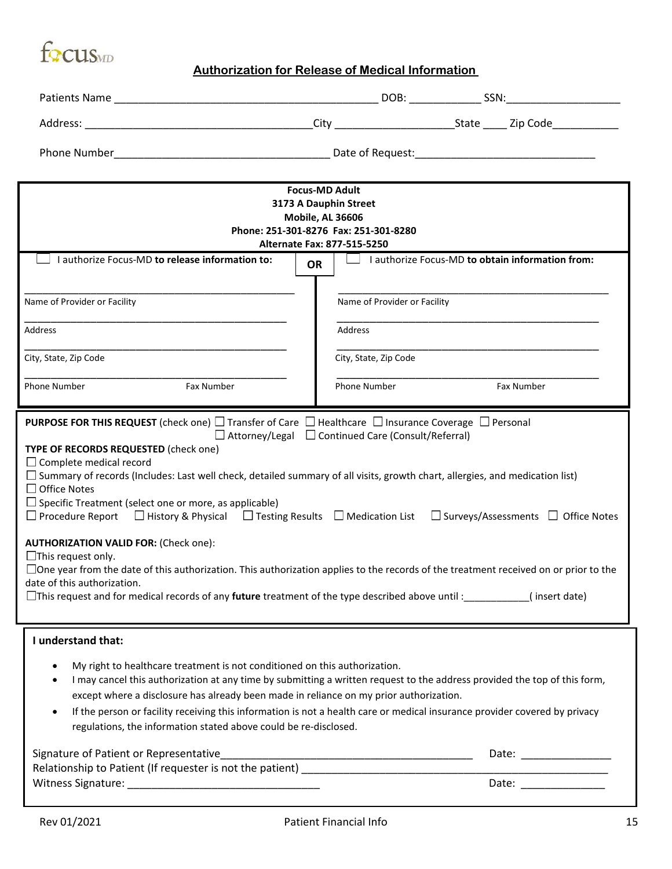

### **Authorization for Release of Medical Information**

| <b>Focus-MD Adult</b><br>3173 A Dauphin Street<br><b>Mobile, AL 36606</b><br>Phone: 251-301-8276 Fax: 251-301-8280                                                                                                                                                                                                                                                                                                                                                                                                                                                                                                                                                                                                                                                                                                                                                                                                                                                                     |                     |                                                                |                       |  |
|----------------------------------------------------------------------------------------------------------------------------------------------------------------------------------------------------------------------------------------------------------------------------------------------------------------------------------------------------------------------------------------------------------------------------------------------------------------------------------------------------------------------------------------------------------------------------------------------------------------------------------------------------------------------------------------------------------------------------------------------------------------------------------------------------------------------------------------------------------------------------------------------------------------------------------------------------------------------------------------|---------------------|----------------------------------------------------------------|-----------------------|--|
| Alternate Fax: 877-515-5250<br>$\Box$ I authorize Focus-MD to obtain information from:                                                                                                                                                                                                                                                                                                                                                                                                                                                                                                                                                                                                                                                                                                                                                                                                                                                                                                 |                     |                                                                |                       |  |
| $\Box$ I authorize Focus-MD to release information to:                                                                                                                                                                                                                                                                                                                                                                                                                                                                                                                                                                                                                                                                                                                                                                                                                                                                                                                                 | <b>OR</b>           |                                                                |                       |  |
| Name of Provider or Facility                                                                                                                                                                                                                                                                                                                                                                                                                                                                                                                                                                                                                                                                                                                                                                                                                                                                                                                                                           |                     | Name of Provider or Facility                                   |                       |  |
| <b>Address</b>                                                                                                                                                                                                                                                                                                                                                                                                                                                                                                                                                                                                                                                                                                                                                                                                                                                                                                                                                                         | Address             |                                                                |                       |  |
| City, State, Zip Code                                                                                                                                                                                                                                                                                                                                                                                                                                                                                                                                                                                                                                                                                                                                                                                                                                                                                                                                                                  |                     | City, State, Zip Code                                          |                       |  |
| Fax Number<br>Phone Number                                                                                                                                                                                                                                                                                                                                                                                                                                                                                                                                                                                                                                                                                                                                                                                                                                                                                                                                                             | <b>Phone Number</b> |                                                                | Fax Number            |  |
| <b>PURPOSE FOR THIS REQUEST</b> (check one) $\Box$ Transfer of Care $\Box$ Healthcare $\Box$ Insurance Coverage $\Box$ Personal<br>TYPE OF RECORDS REQUESTED (check one)<br>$\Box$ Complete medical record<br>$\Box$ Summary of records (Includes: Last well check, detailed summary of all visits, growth chart, allergies, and medication list)<br>$\Box$ Office Notes<br>$\Box$ Specific Treatment (select one or more, as applicable)<br>$\Box$ Procedure Report $\Box$ History & Physical $\Box$ Testing Results $\Box$ Medication List $\Box$ Surveys/Assessments $\Box$ Office Notes<br><b>AUTHORIZATION VALID FOR: (Check one):</b><br>$\Box$ This request only.<br>$\Box$ One year from the date of this authorization. This authorization applies to the records of the treatment received on or prior to the<br>date of this authorization.<br>$\Box$ This request and for medical records of any <b>future</b> treatment of the type described above until : (insert date) |                     | $\Box$ Attorney/Legal $\Box$ Continued Care (Consult/Referral) |                       |  |
| I understand that:<br>My right to healthcare treatment is not conditioned on this authorization.<br>I may cancel this authorization at any time by submitting a written request to the address provided the top of this form,<br>except where a disclosure has already been made in reliance on my prior authorization.<br>If the person or facility receiving this information is not a health care or medical insurance provider covered by privacy<br>$\bullet$<br>regulations, the information stated above could be re-disclosed.<br>Signature of Patient or Representative                                                                                                                                                                                                                                                                                                                                                                                                       |                     |                                                                |                       |  |
| Relationship to Patient (If requester is not the patient) entries and the set of the set of the set of the set of the set of the set of the set of the set of the set of the set of the set of the set of the set of the set o                                                                                                                                                                                                                                                                                                                                                                                                                                                                                                                                                                                                                                                                                                                                                         |                     |                                                                | Date: _______________ |  |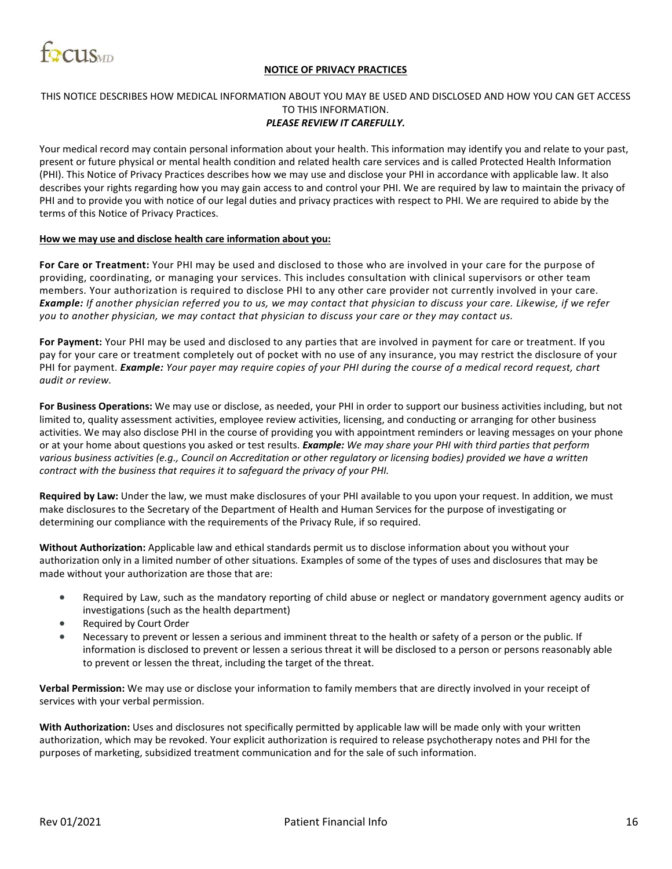

#### **NOTICE OF PRIVACY PRACTICES**

#### THIS NOTICE DESCRIBES HOW MEDICAL INFORMATION ABOUT YOU MAY BE USED AND DISCLOSED AND HOW YOU CAN GET ACCESS TO THIS INFORMATION.

#### *PLEASE REVIEW IT CAREFULLY.*

Your medical record may contain personal information about your health. This information may identify you and relate to your past, present or future physical or mental health condition and related health care services and is called Protected Health Information (PHI). This Notice of Privacy Practices describes how we may use and disclose your PHI in accordance with applicable law. It also describes your rights regarding how you may gain access to and control your PHI. We are required by law to maintain the privacy of PHI and to provide you with notice of our legal duties and privacy practices with respect to PHI. We are required to abide by the terms of this Notice of Privacy Practices.

#### **How we may use and disclose health care information about you:**

**For Care or Treatment:** Your PHI may be used and disclosed to those who are involved in your care for the purpose of providing, coordinating, or managing your services. This includes consultation with clinical supervisors or other team members. Your authorization is required to disclose PHI to any other care provider not currently involved in your care. *Example: If another physician referred you to us, we may contact that physician to discuss your care. Likewise, if we refer you to another physician, we may contact that physician to discuss your care or they may contact us.*

**For Payment:** Your PHI may be used and disclosed to any parties that are involved in payment for care or treatment. If you pay for your care or treatment completely out of pocket with no use of any insurance, you may restrict the disclosure of your PHI for payment. *Example: Your payer may require copies of your PHI during the course of a medical record request, chart audit or review.*

**For Business Operations:** We may use or disclose, as needed, your PHI in order to support our business activities including, but not limited to, quality assessment activities, employee review activities, licensing, and conducting or arranging for other business activities. We may also disclose PHI in the course of providing you with appointment reminders or leaving messages on your phone or at your home about questions you asked or test results. *Example: We may share your PHI with third parties that perform various business activities (e.g., Council on Accreditation or other regulatory or licensing bodies) provided we have a written contract with the business that requires it to safeguard the privacy of your PHI.*

**Required by Law:** Under the law, we must make disclosures of your PHI available to you upon your request. In addition, we must make disclosures to the Secretary of the Department of Health and Human Services for the purpose of investigating or determining our compliance with the requirements of the Privacy Rule, if so required.

**Without Authorization:** Applicable law and ethical standards permit us to disclose information about you without your authorization only in a limited number of other situations. Examples of some of the types of uses and disclosures that may be made without your authorization are those that are:

- Required by Law, such as the mandatory reporting of child abuse or neglect or mandatory government agency audits or investigations (such as the health department)
- Required by Court Order
- Necessary to prevent or lessen a serious and imminent threat to the health or safety of a person or the public. If information is disclosed to prevent or lessen a serious threat it will be disclosed to a person or persons reasonably able to prevent or lessen the threat, including the target of the threat.

**Verbal Permission:** We may use or disclose your information to family members that are directly involved in your receipt of services with your verbal permission.

**With Authorization:** Uses and disclosures not specifically permitted by applicable law will be made only with your written authorization, which may be revoked. Your explicit authorization is required to release psychotherapy notes and PHI for the purposes of marketing, subsidized treatment communication and for the sale of such information.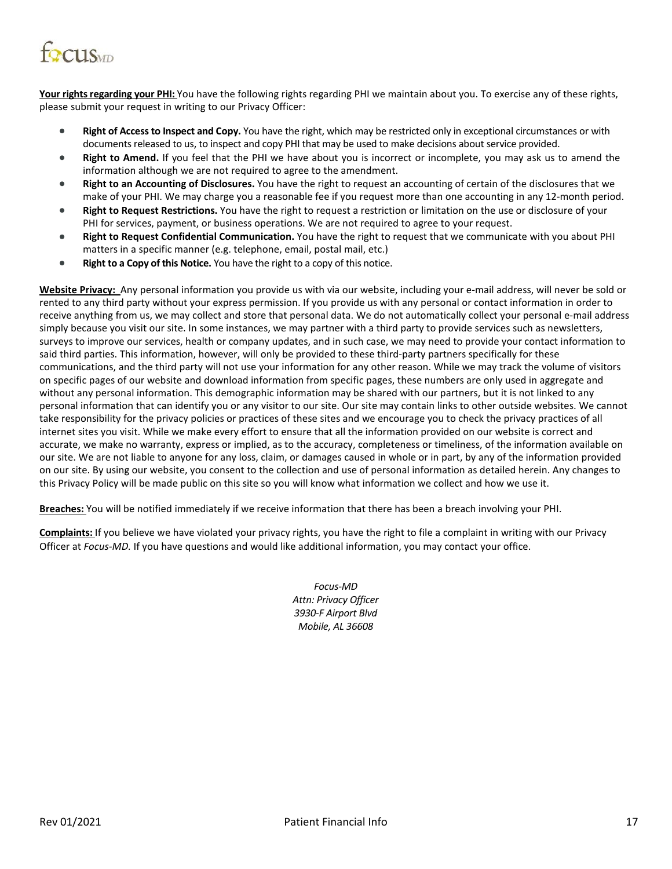

Your rights regarding your PHI: You have the following rights regarding PHI we maintain about you. To exercise any of these rights, please submit your request in writing to our Privacy Officer:

- **Right of Access to Inspect and Copy.** You have the right, which may be restricted only in exceptional circumstances or with documents released to us, to inspect and copy PHI that may be used to make decisions about service provided.
- **Right to Amend.** If you feel that the PHI we have about you is incorrect or incomplete, you may ask us to amend the information although we are not required to agree to the amendment.
- **Right to an Accounting of Disclosures.** You have the right to request an accounting of certain of the disclosures that we make of your PHI. We may charge you a reasonable fee if you request more than one accounting in any 12-month period.
- **Right to Request Restrictions.** You have the right to request a restriction or limitation on the use or disclosure of your PHI for services, payment, or business operations. We are not required to agree to your request.
- **Right to Request Confidential Communication.** You have the right to request that we communicate with you about PHI matters in a specific manner (e.g. telephone, email, postal mail, etc.)
- **Right to a Copy of this Notice.** You have the right to a copy of this notice.

**Website Privacy:** Any personal information you provide us with via our website, including your e-mail address, will never be sold or rented to any third party without your express permission. If you provide us with any personal or contact information in order to receive anything from us, we may collect and store that personal data. We do not automatically collect your personal e-mail address simply because you visit our site. In some instances, we may partner with a third party to provide services such as newsletters, surveys to improve our services, health or company updates, and in such case, we may need to provide your contact information to said third parties. This information, however, will only be provided to these third-party partners specifically for these communications, and the third party will not use your information for any other reason. While we may track the volume of visitors on specific pages of our website and download information from specific pages, these numbers are only used in aggregate and without any personal information. This demographic information may be shared with our partners, but it is not linked to any personal information that can identify you or any visitor to our site. Our site may contain links to other outside websites. We cannot take responsibility for the privacy policies or practices of these sites and we encourage you to check the privacy practices of all internet sites you visit. While we make every effort to ensure that all the information provided on our website is correct and accurate, we make no warranty, express or implied, as to the accuracy, completeness or timeliness, of the information available on our site. We are not liable to anyone for any loss, claim, or damages caused in whole or in part, by any of the information provided on our site. By using our website, you consent to the collection and use of personal information as detailed herein. Any changes to this Privacy Policy will be made public on this site so you will know what information we collect and how we use it.

**Breaches:** You will be notified immediately if we receive information that there has been a breach involving your PHI.

**Complaints:** If you believe we have violated your privacy rights, you have the right to file a complaint in writing with our Privacy Officer at *Focus-MD.* If you have questions and would like additional information, you may contact your office.

> *Focus-MD Attn: Privacy Officer 3930-F Airport Blvd Mobile, AL 36608*